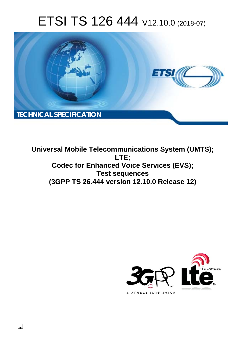# ETSI TS 126 444 V12.10.0 (2018-07)



**Universal Mobile Telecommunications System (UMTS); LTE; Codec for Enhanced Voice Services (EVS); Test sequences (3GPP TS 26.444 version 12.10.0 Release 12)** 



 $\Box$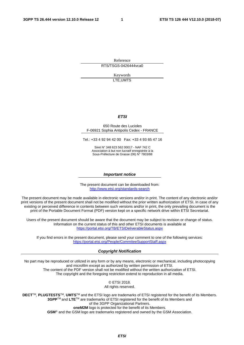Reference RTS/TSGS-0426444vca0

> Keywords LTE,UMTS

#### *ETSI*

#### 650 Route des Lucioles F-06921 Sophia Antipolis Cedex - FRANCE

Tel.: +33 4 92 94 42 00 Fax: +33 4 93 65 47 16

Siret N° 348 623 562 00017 - NAF 742 C Association à but non lucratif enregistrée à la Sous-Préfecture de Grasse (06) N° 7803/88

#### *Important notice*

The present document can be downloaded from: <http://www.etsi.org/standards-search>

The present document may be made available in electronic versions and/or in print. The content of any electronic and/or print versions of the present document shall not be modified without the prior written authorization of ETSI. In case of any existing or perceived difference in contents between such versions and/or in print, the only prevailing document is the print of the Portable Document Format (PDF) version kept on a specific network drive within ETSI Secretariat.

Users of the present document should be aware that the document may be subject to revision or change of status. Information on the current status of this and other ETSI documents is available at <https://portal.etsi.org/TB/ETSIDeliverableStatus.aspx>

If you find errors in the present document, please send your comment to one of the following services: <https://portal.etsi.org/People/CommiteeSupportStaff.aspx>

#### *Copyright Notification*

No part may be reproduced or utilized in any form or by any means, electronic or mechanical, including photocopying and microfilm except as authorized by written permission of ETSI. The content of the PDF version shall not be modified without the written authorization of ETSI. The copyright and the foregoing restriction extend to reproduction in all media.

> © ETSI 2018. All rights reserved.

**DECT**TM, **PLUGTESTS**TM, **UMTS**TM and the ETSI logo are trademarks of ETSI registered for the benefit of its Members. **3GPP**TM and **LTE**TM are trademarks of ETSI registered for the benefit of its Members and of the 3GPP Organizational Partners. **oneM2M** logo is protected for the benefit of its Members.

**GSM**® and the GSM logo are trademarks registered and owned by the GSM Association.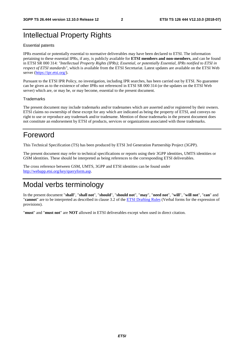# Intellectual Property Rights

#### Essential patents

IPRs essential or potentially essential to normative deliverables may have been declared to ETSI. The information pertaining to these essential IPRs, if any, is publicly available for **ETSI members and non-members**, and can be found in ETSI SR 000 314: *"Intellectual Property Rights (IPRs); Essential, or potentially Essential, IPRs notified to ETSI in respect of ETSI standards"*, which is available from the ETSI Secretariat. Latest updates are available on the ETSI Web server ([https://ipr.etsi.org/\)](https://ipr.etsi.org/).

Pursuant to the ETSI IPR Policy, no investigation, including IPR searches, has been carried out by ETSI. No guarantee can be given as to the existence of other IPRs not referenced in ETSI SR 000 314 (or the updates on the ETSI Web server) which are, or may be, or may become, essential to the present document.

#### **Trademarks**

The present document may include trademarks and/or tradenames which are asserted and/or registered by their owners. ETSI claims no ownership of these except for any which are indicated as being the property of ETSI, and conveys no right to use or reproduce any trademark and/or tradename. Mention of those trademarks in the present document does not constitute an endorsement by ETSI of products, services or organizations associated with those trademarks.

# Foreword

This Technical Specification (TS) has been produced by ETSI 3rd Generation Partnership Project (3GPP).

The present document may refer to technical specifications or reports using their 3GPP identities, UMTS identities or GSM identities. These should be interpreted as being references to the corresponding ETSI deliverables.

The cross reference between GSM, UMTS, 3GPP and ETSI identities can be found under [http://webapp.etsi.org/key/queryform.asp.](http://webapp.etsi.org/key/queryform.asp)

# Modal verbs terminology

In the present document "**shall**", "**shall not**", "**should**", "**should not**", "**may**", "**need not**", "**will**", "**will not**", "**can**" and "**cannot**" are to be interpreted as described in clause 3.2 of the [ETSI Drafting Rules](https://portal.etsi.org/Services/editHelp!/Howtostart/ETSIDraftingRules.aspx) (Verbal forms for the expression of provisions).

"**must**" and "**must not**" are **NOT** allowed in ETSI deliverables except when used in direct citation.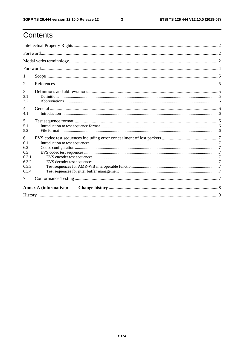$\mathbf{3}$ 

# Contents

| 1                                                          |  |
|------------------------------------------------------------|--|
| 2                                                          |  |
| 3<br>3.1<br>3.2                                            |  |
| $\overline{4}$<br>4.1                                      |  |
| 5<br>5.1<br>5.2                                            |  |
| 6<br>6.1<br>6.2<br>6.3<br>6.3.1<br>6.3.2<br>6.3.3<br>6.3.4 |  |
| 7                                                          |  |
| <b>Annex A (informative):</b>                              |  |
|                                                            |  |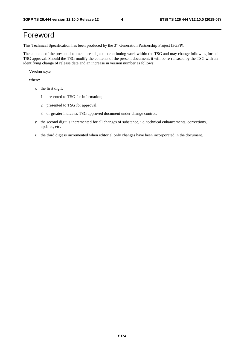# Foreword

This Technical Specification has been produced by the 3rd Generation Partnership Project (3GPP).

The contents of the present document are subject to continuing work within the TSG and may change following formal TSG approval. Should the TSG modify the contents of the present document, it will be re-released by the TSG with an identifying change of release date and an increase in version number as follows:

Version x.y.z

where:

- x the first digit:
	- 1 presented to TSG for information;
	- 2 presented to TSG for approval;
	- 3 or greater indicates TSG approved document under change control.
- y the second digit is incremented for all changes of substance, i.e. technical enhancements, corrections, updates, etc.
- z the third digit is incremented when editorial only changes have been incorporated in the document.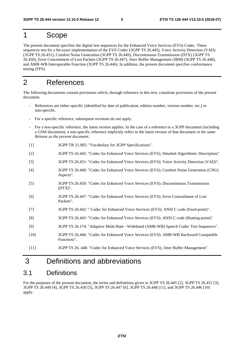### 1 Scope

The present document specifies the digital test sequences for the Enhanced Voice Services (EVS) Codec. These sequences test for a bit-exact implementation of the EVS Codec (3GPP TS 26.445), Voice Activity Detection (VAD) (3GPP TS.26.451), Comfort Noise Generation (3GPP TS 26.449), Discontinuous Transmission (DTX) (3GPP TS 26.450), Error Concealment of Lost Packets (3GPP TS 26.447), Jitter Buffer Management (JBM) (3GPP TS 26.448), and AMR-WB Interoperable Function (3GPP TS 26.446). In addition, the present document specifies conformance testing (FFS).

### 2 References

The following documents contain provisions which, through reference in this text, constitute provisions of the present document.

- References are either specific (identified by date of publication, edition number, version number, etc.) or non-specific.
- For a specific reference, subsequent revisions do not apply.
- For a non-specific reference, the latest version applies. In the case of a reference to a 3GPP document (including a GSM document), a non-specific reference implicitly refers to the latest version of that document *in the same Release as the present document*.
- [1] 3GPP TR 21.905: "Vocabulary for 3GPP Specifications".
- [2] 3GPP TS 26.445: "Codec for Enhanced Voice Services (EVS); Detailed Algorithmic Description".
- [3] 3GPP TS 26.451: "Codec for Enhanced Voice Services (EVS); Voice Activity Detection (VAD)".
- [4] 3GPP TS 26.449: "Codec for Enhanced Voice Services (EVS); Comfort Noise Generation (CNG) Aspects".
- [5] 3GPP TS 26.450: "Codec for Enhanced Voice Services (EVS); Discontinuous Transmission (DTX)".
- [6] 3GPP TS 26.447: "Codec for Enhanced Voice Services (EVS); Error Concealment of Lost Packets".
- [7] 3GPP TS 26.442: " Codec for Enhanced Voice Services (EVS); ANSI C code (fixed-point)".
- [8] 3GPP TS 26.443: "Codec for Enhanced Voice Services (EVS); ANSI C code (floating-point)".
- [9] 3GPP TS 26.174: "Adaptive Multi-Rate Wideband (AMR-WB) Speech Codec Test Sequences".
- [10] 3GPP TS 26.446: "Codec for Enhanced Voice Services (EVS); AMR-WB Backward Compatible Functions".
- [11] 3GPP TS 26. 448: "Codec for Enhanced Voice Services (EVS); Jitter Buffer Management".

# 3 Definitions and abbreviations

#### 3.1 Definitions

For the purposes of the present document, the terms and definitions given in 3GPP TS 26.445 [2], 3GPP TS 26.451 [3], 3GPP TS 26.449 [4], 3GPP TS 26.450 [5], 3GPP TS 26.447 [6], 3GPP TS 26.448 [11], and 3GPP TS 26.446 [10] apply.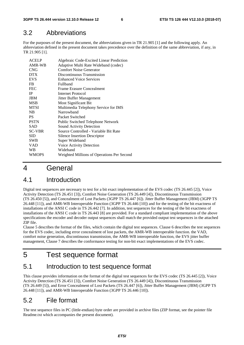#### 3.2 Abbreviations

For the purposes of the present document, the abbreviations given in TR 21.905 [1] and the following apply. An abbreviation defined in the present document takes precedence over the definition of the same abbreviation, if any, in TR 21.905 [1].

| <b>ACELP</b>  | Algebraic Code-Excited Linear Prediction   |
|---------------|--------------------------------------------|
| AMR-WB        | Adaptive Multi Rate Wideband (codec)       |
| <b>CNG</b>    | <b>Comfort Noise Generator</b>             |
| <b>DTX</b>    | Discontinuous Transmission                 |
| <b>EVS</b>    | <b>Enhanced Voice Services</b>             |
| FB            | Fullband                                   |
| <b>FEC</b>    | <b>Frame Erasure Concealment</b>           |
| <b>IP</b>     | Internet Protocol                          |
| <b>JBM</b>    | Jitter Buffer Management                   |
| <b>MSB</b>    | Most Significant Bit                       |
| <b>MTSI</b>   | Multimedia Telephony Service for IMS       |
| NB            | Narrowhand                                 |
| <b>PS</b>     | Packet Switched                            |
| <b>PSTN</b>   | Public Switched Telephone Network          |
| <b>SAD</b>    | Sound Activity Detection                   |
| <b>SC-VBR</b> | Source Controlled - Variable Bit Rate      |
| <b>SID</b>    | Silence Insertion Descriptor               |
| <b>SWB</b>    | Super Wideband                             |
| <b>VAD</b>    | Voice Activity Detection                   |
| WB            | Wideband                                   |
| <b>WMOPS</b>  | Weighted Millions of Operations Per Second |

### 4 General

### 4.1 Introduction

Digital test sequences are necessary to test for a bit exact implementation of the EVS codec (TS 26.445 [2]), Voice Activity Detection (TS 26.451 [3]), Comfort Noise Generation (TS 26.449 [4]), Discontinuous Transmission (TS 26.450 [5]), and Concealment of Lost Packets (3GPP TS 26.447 [6]). Jitter Buffer Management (JBM) (3GPP TS 26.448 [11]), and AMR-WB Interoperable Function (3GPP TS 26.446 [10]) and for the testing of the bit exactness of installations of the ANSI C code in TS 26.442 [7]. In addition, test sequences for the testing of the bit exactness of installations of the ANSI C code in TS 26.443 [8] are provided. For a standard compliant implementation of the above specifications the encoder and decoder output sequences shall match the provided output test sequences in the attached ZIP file.

Clause 5 describes the format of the files, which contain the digital test sequences. Clause 6 describes the test sequences for the EVS codec, including error concealment of lost packets, the AMR-WB interoperable function. the VAD, comfort noise generation, discontinuous transmission, the AMR-WB interoperable function, the EVS jitter buffer management, Clause 7 describes the conformance testing for non-bit exact implementations of the EVS codec.

## 5 Test sequence format

### 5.1 Introduction to test sequence format

This clause provides information on the format of the digital test sequences for the EVS codec (TS 26.445 [2]), Voice Activity Detection (TS 26.451 [3]), Comfort Noise Generation (TS 26.449 [4]), Discontinuous Transmission (TS 26.449 [5]), and Error Concealment of Lost Packets (TS 26.447 [6]), Jitter Buffer Management (JBM) (3GPP TS 26.448 [11]), and AMR-WB Interoperable Function (3GPP TS 26.446 [10]).

### 5.2 File format

The test sequence files in PC (little-endian) byte order are provided in archive files (ZIP format, see the pointer file Readme.txt which accompanies the present document).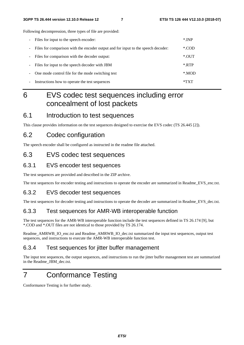Following decompression, three types of file are provided:

| -                        | Files for input to the speech encoder:                                            | $*$ INP |
|--------------------------|-----------------------------------------------------------------------------------|---------|
| Ξ.                       | Files for comparison with the encoder output and for input to the speech decoder: | *.COD   |
| $\overline{\phantom{0}}$ | Files for comparison with the decoder output:                                     | $*$ OUT |
| -                        | Files for input to the speech decoder with JBM                                    | $*$ RTP |
| $\overline{\phantom{a}}$ | One mode control file for the mode switching test                                 | *.MOD   |
| -                        | Instructions how to operate the test sequences                                    | *TXT    |

# 6 EVS codec test sequences including error concealment of lost packets

#### 6.1 Introduction to test sequences

This clause provides information on the test sequences designed to exercise the EVS codec (TS 26.445 [2]).

#### 6.2 Codec configuration

The speech encoder shall be configured as instructed in the readme file attached.

#### 6.3 EVS codec test sequences

#### 6.3.1 EVS encoder test sequences

The test sequences are provided and described in the ZIP archive.

The test sequences for encoder testing and instructions to operate the encoder are summarized in Readme\_EVS\_enc.txt.

#### 6.3.2 EVS decoder test sequences

The test sequences for decoder testing and instructions to operate the decoder are summarized in Readme\_EVS\_dec.txt.

#### 6.3.3 Test sequences for AMR-WB interoperable function

The test sequences for the AMR-WB interoperable function include the test sequences defined in TS 26.174 [9], but \*.COD and \*.OUT files are not identical to those provided by TS 26.174.

Readme\_AMRWB\_IO\_enc.txt and Readme\_AMRWB\_IO\_dec.txt summarized the input test sequences, output test sequences, and instructions to execute the AMR-WB interoperable function test.

#### 6.3.4 Test sequences for jitter buffer management

The input test sequences, the output sequences, and instructions to run the jitter buffer management test are summarized in the Readme\_JBM\_dec.txt.

# 7 Conformance Testing

Conformance Testing is for further study.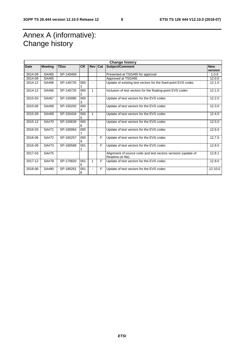# Annex A (informative): Change history

| <b>Change history</b> |                |             |           |                          |     |                                                                                   |                       |
|-----------------------|----------------|-------------|-----------|--------------------------|-----|-----------------------------------------------------------------------------------|-----------------------|
| Date                  | <b>Meeting</b> | <b>TDoc</b> | <b>CR</b> | <b>Rev</b>               | Cat | Subject/Comment                                                                   | <b>New</b><br>version |
| 2014-09               | SA#65          | SP-140459   |           |                          |     | Presented at TSG#65 for approval                                                  | 1.0.0                 |
| 2014-09               | SA#65          |             |           |                          |     | Approved at TSG#65                                                                | 12.0.0                |
| 2014-12               | SA#66          | SP-140725   | 000       | ۰                        |     | Update of existing test vectors for the fixed-point EVS codec                     | 12.1.0                |
| 2014-12               | SA#66          | SP-140725   | 000       | 1                        |     | Inclusion of test vectors for the floating-point EVS codec                        | 12.1.0                |
| 2015-03               | SA#67          | SP-150085   | 000       | ۰                        |     | Update of test vectors for the EVS codec                                          | 12.2.0                |
| 2015-06               | SA#68          | SP-150202   | 000       | ٠                        |     | Update of test vectors for the EVS codec                                          | 12.3.0                |
| 2015-09               | SA#69          | SP-150434   | 000<br>5  | 1                        |     | Update of test vectors for the EVS codec                                          | 12.4.0                |
| 2015-12               | SA#70          | SP-150639   | 000<br>6  | $\blacksquare$           |     | Update of test vectors for the EVS codec                                          | 12.5.0                |
| 2016-03               | SA#71          | SP-160064   | 000       | ۰                        |     | Update of test vectors for the EVS codec                                          | 12.6.0                |
| 2016-06               | SA#72          | SP-160257   | 000<br>9  | $\overline{\phantom{0}}$ | F   | Update of test vectors for the EVS codec                                          | 12.7.0                |
| 2016-09               | SA#73          | SP-160589   | 001       | $\blacksquare$           | F   | Update of test vectors for the EVS codec                                          | 12.8.0                |
| 2017-03               | SA#75          |             |           |                          |     | Alignment of source code and test vectors versions (update of<br>Readme.txt file) | 12.8.1                |
| 2017-12               | <b>SA#78</b>   | SP-170820   | 001<br>5  | 1                        | F   | Update of test vectors for the EVS codec                                          | 12.9.0                |
| 2018-06               | SA#80          | SP-180261   | 001<br>8  |                          | F   | Update of test vectors for the EVS codec                                          | 12.10.0               |